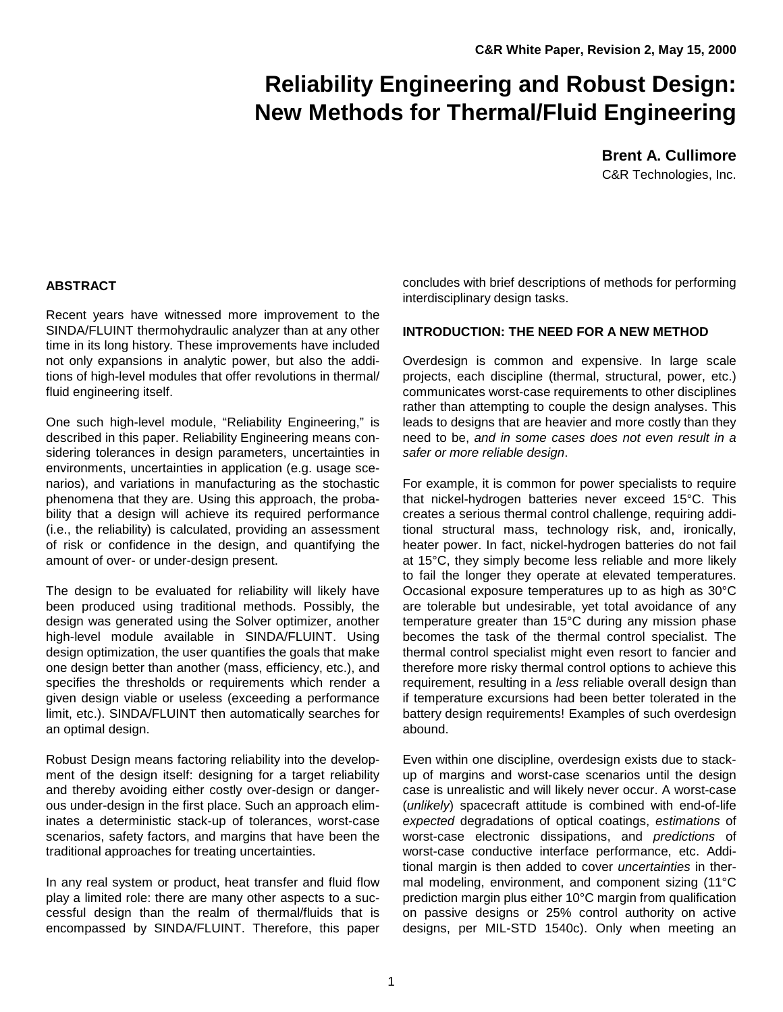# **Reliability Engineering and Robust Design: New Methods for Thermal/Fluid Engineering**

**Brent A. Cullimore** C&R Technologies, Inc.

# **ABSTRACT**

Recent years have witnessed more improvement to the SINDA/FLUINT thermohydraulic analyzer than at any other time in its long history. These improvements have included not only expansions in analytic power, but also the additions of high-level modules that offer revolutions in thermal/ fluid engineering itself.

One such high-level module, "Reliability Engineering," is described in this paper. Reliability Engineering means considering tolerances in design parameters, uncertainties in environments, uncertainties in application (e.g. usage scenarios), and variations in manufacturing as the stochastic phenomena that they are. Using this approach, the probability that a design will achieve its required performance (i.e., the reliability) is calculated, providing an assessment of risk or confidence in the design, and quantifying the amount of over- or under-design present.

The design to be evaluated for reliability will likely have been produced using traditional methods. Possibly, the design was generated using the Solver optimizer, another high-level module available in SINDA/FLUINT. Using design optimization, the user quantifies the goals that make one design better than another (mass, efficiency, etc.), and specifies the thresholds or requirements which render a given design viable or useless (exceeding a performance limit, etc.). SINDA/FLUINT then automatically searches for an optimal design.

Robust Design means factoring reliability into the development of the design itself: designing for a target reliability and thereby avoiding either costly over-design or dangerous under-design in the first place. Such an approach eliminates a deterministic stack-up of tolerances, worst-case scenarios, safety factors, and margins that have been the traditional approaches for treating uncertainties.

In any real system or product, heat transfer and fluid flow play a limited role: there are many other aspects to a successful design than the realm of thermal/fluids that is encompassed by SINDA/FLUINT. Therefore, this paper

concludes with brief descriptions of methods for performing interdisciplinary design tasks.

# **INTRODUCTION: THE NEED FOR A NEW METHOD**

Overdesign is common and expensive. In large scale projects, each discipline (thermal, structural, power, etc.) communicates worst-case requirements to other disciplines rather than attempting to couple the design analyses. This leads to designs that are heavier and more costly than they need to be, *and in some cases does not even result in a safer or more reliable design*.

For example, it is common for power specialists to require that nickel-hydrogen batteries never exceed 15°C. This creates a serious thermal control challenge, requiring additional structural mass, technology risk, and, ironically, heater power. In fact, nickel-hydrogen batteries do not fail at 15°C, they simply become less reliable and more likely to fail the longer they operate at elevated temperatures. Occasional exposure temperatures up to as high as 30°C are tolerable but undesirable, yet total avoidance of any temperature greater than 15°C during any mission phase becomes the task of the thermal control specialist. The thermal control specialist might even resort to fancier and therefore more risky thermal control options to achieve this requirement, resulting in a *less* reliable overall design than if temperature excursions had been better tolerated in the battery design requirements! Examples of such overdesign abound.

Even within one discipline, overdesign exists due to stackup of margins and worst-case scenarios until the design case is unrealistic and will likely never occur. A worst-case (*unlikely*) spacecraft attitude is combined with end-of-life *expected* degradations of optical coatings, *estimations* of worst-case electronic dissipations, and *predictions* of worst-case conductive interface performance, etc. Additional margin is then added to cover *uncertainties* in thermal modeling, environment, and component sizing (11°C prediction margin plus either 10°C margin from qualification on passive designs or 25% control authority on active designs, per MIL-STD 1540c). Only when meeting an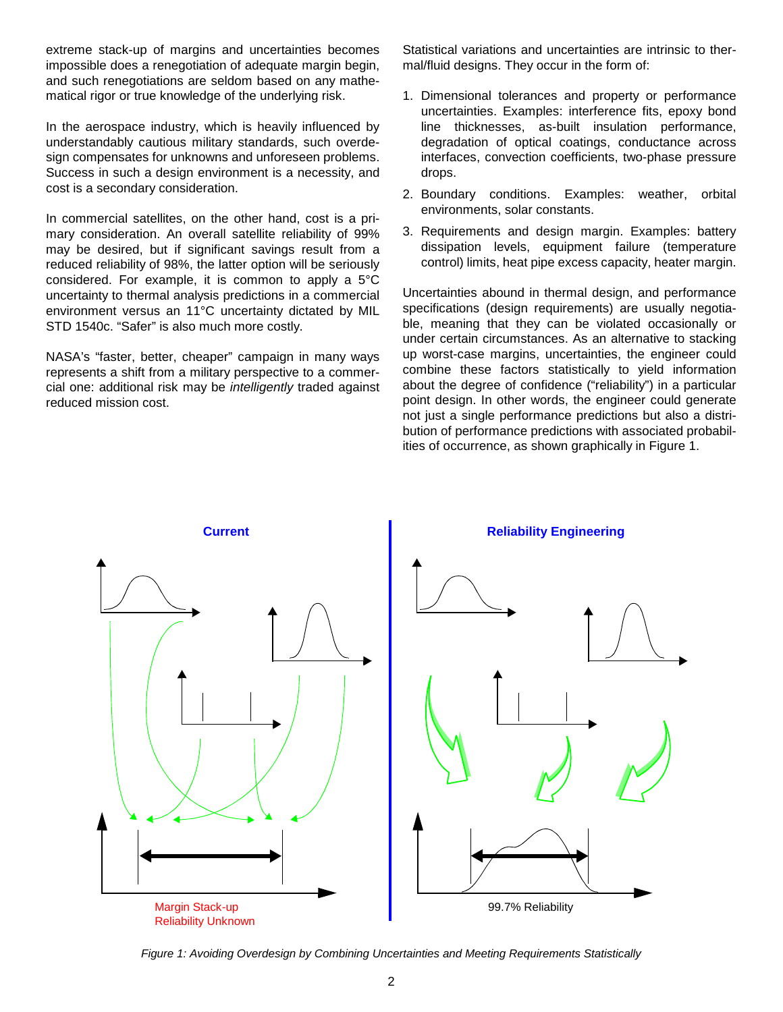extreme stack-up of margins and uncertainties becomes impossible does a renegotiation of adequate margin begin, and such renegotiations are seldom based on any mathematical rigor or true knowledge of the underlying risk.

In the aerospace industry, which is heavily influenced by understandably cautious military standards, such overdesign compensates for unknowns and unforeseen problems. Success in such a design environment is a necessity, and cost is a secondary consideration.

In commercial satellites, on the other hand, cost is a primary consideration. An overall satellite reliability of 99% may be desired, but if significant savings result from a reduced reliability of 98%, the latter option will be seriously considered. For example, it is common to apply a 5°C uncertainty to thermal analysis predictions in a commercial environment versus an 11°C uncertainty dictated by MIL STD 1540c. "Safer" is also much more costly.

NASA's "faster, better, cheaper" campaign in many ways represents a shift from a military perspective to a commercial one: additional risk may be *intelligently* traded against reduced mission cost.

Statistical variations and uncertainties are intrinsic to thermal/fluid designs. They occur in the form of:

- 1. Dimensional tolerances and property or performance uncertainties. Examples: interference fits, epoxy bond line thicknesses, as-built insulation performance, degradation of optical coatings, conductance across interfaces, convection coefficients, two-phase pressure drops.
- 2. Boundary conditions. Examples: weather, orbital environments, solar constants.
- 3. Requirements and design margin. Examples: battery dissipation levels, equipment failure (temperature control) limits, heat pipe excess capacity, heater margin.

Uncertainties abound in thermal design, and performance specifications (design requirements) are usually negotiable, meaning that they can be violated occasionally or under certain circumstances. As an alternative to stacking up worst-case margins, uncertainties, the engineer could combine these factors statistically to yield information about the degree of confidence ("reliability") in a particular point design. In other words, the engineer could generate not just a single performance predictions but also a distribution of performance predictions with associated probabilities of occurrence, as shown graphically in Figure 1.



*Figure 1: Avoiding Overdesign by Combining Uncertainties and Meeting Requirements Statistically*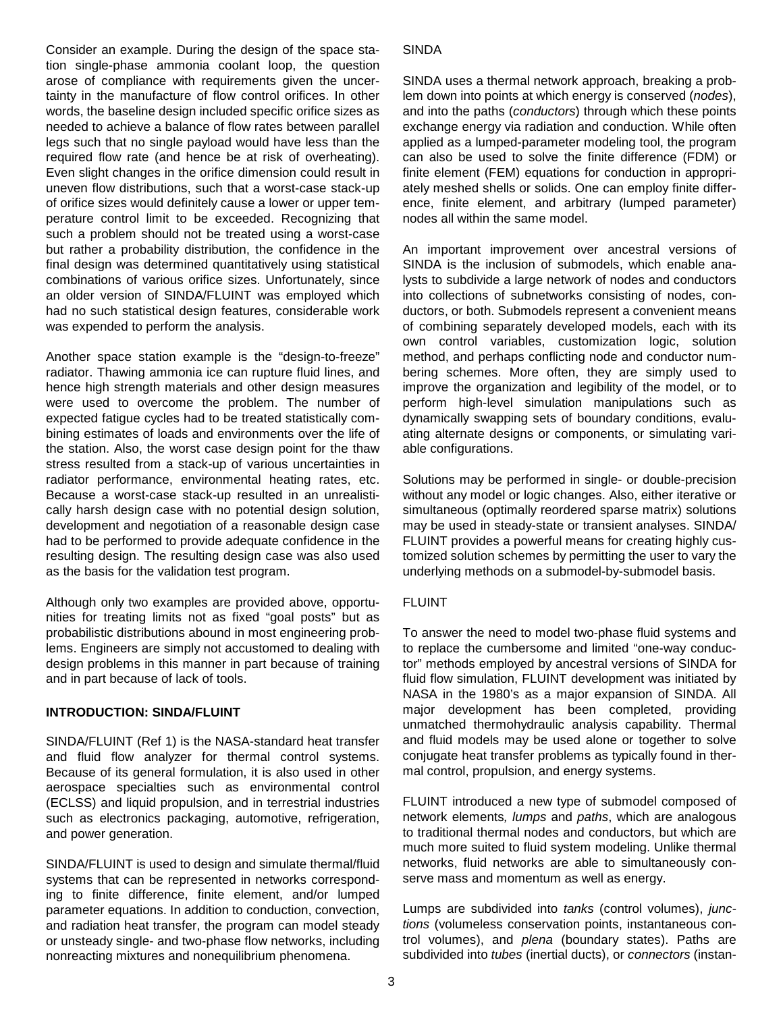Consider an example. During the design of the space station single-phase ammonia coolant loop, the question arose of compliance with requirements given the uncertainty in the manufacture of flow control orifices. In other words, the baseline design included specific orifice sizes as needed to achieve a balance of flow rates between parallel legs such that no single payload would have less than the required flow rate (and hence be at risk of overheating). Even slight changes in the orifice dimension could result in uneven flow distributions, such that a worst-case stack-up of orifice sizes would definitely cause a lower or upper temperature control limit to be exceeded. Recognizing that such a problem should not be treated using a worst-case but rather a probability distribution, the confidence in the final design was determined quantitatively using statistical combinations of various orifice sizes. Unfortunately, since an older version of SINDA/FLUINT was employed which had no such statistical design features, considerable work was expended to perform the analysis.

Another space station example is the "design-to-freeze" radiator. Thawing ammonia ice can rupture fluid lines, and hence high strength materials and other design measures were used to overcome the problem. The number of expected fatigue cycles had to be treated statistically combining estimates of loads and environments over the life of the station. Also, the worst case design point for the thaw stress resulted from a stack-up of various uncertainties in radiator performance, environmental heating rates, etc. Because a worst-case stack-up resulted in an unrealistically harsh design case with no potential design solution, development and negotiation of a reasonable design case had to be performed to provide adequate confidence in the resulting design. The resulting design case was also used as the basis for the validation test program.

Although only two examples are provided above, opportunities for treating limits not as fixed "goal posts" but as probabilistic distributions abound in most engineering problems. Engineers are simply not accustomed to dealing with design problems in this manner in part because of training and in part because of lack of tools.

#### **INTRODUCTION: SINDA/FLUINT**

SINDA/FLUINT (Ref 1) is the NASA-standard heat transfer and fluid flow analyzer for thermal control systems. Because of its general formulation, it is also used in other aerospace specialties such as environmental control (ECLSS) and liquid propulsion, and in terrestrial industries such as electronics packaging, automotive, refrigeration, and power generation.

SINDA/FLUINT is used to design and simulate thermal/fluid systems that can be represented in networks corresponding to finite difference, finite element, and/or lumped parameter equations. In addition to conduction, convection, and radiation heat transfer, the program can model steady or unsteady single- and two-phase flow networks, including nonreacting mixtures and nonequilibrium phenomena.

# SINDA

SINDA uses a thermal network approach, breaking a problem down into points at which energy is conserved (*nodes*), and into the paths (*conductors*) through which these points exchange energy via radiation and conduction. While often applied as a lumped-parameter modeling tool, the program can also be used to solve the finite difference (FDM) or finite element (FEM) equations for conduction in appropriately meshed shells or solids. One can employ finite difference, finite element, and arbitrary (lumped parameter) nodes all within the same model.

An important improvement over ancestral versions of SINDA is the inclusion of submodels, which enable analysts to subdivide a large network of nodes and conductors into collections of subnetworks consisting of nodes, conductors, or both. Submodels represent a convenient means of combining separately developed models, each with its own control variables, customization logic, solution method, and perhaps conflicting node and conductor numbering schemes. More often, they are simply used to improve the organization and legibility of the model, or to perform high-level simulation manipulations such as dynamically swapping sets of boundary conditions, evaluating alternate designs or components, or simulating variable configurations.

Solutions may be performed in single- or double-precision without any model or logic changes. Also, either iterative or simultaneous (optimally reordered sparse matrix) solutions may be used in steady-state or transient analyses. SINDA/ FLUINT provides a powerful means for creating highly customized solution schemes by permitting the user to vary the underlying methods on a submodel-by-submodel basis.

#### FLUINT

To answer the need to model two-phase fluid systems and to replace the cumbersome and limited "one-way conductor" methods employed by ancestral versions of SINDA for fluid flow simulation, FLUINT development was initiated by NASA in the 1980's as a major expansion of SINDA. All major development has been completed, providing unmatched thermohydraulic analysis capability. Thermal and fluid models may be used alone or together to solve conjugate heat transfer problems as typically found in thermal control, propulsion, and energy systems.

FLUINT introduced a new type of submodel composed of network elements*, lumps* and *paths*, which are analogous to traditional thermal nodes and conductors, but which are much more suited to fluid system modeling. Unlike thermal networks, fluid networks are able to simultaneously conserve mass and momentum as well as energy.

Lumps are subdivided into *tanks* (control volumes), *junctions* (volumeless conservation points, instantaneous control volumes), and *plena* (boundary states). Paths are subdivided into *tubes* (inertial ducts), or *connectors* (instan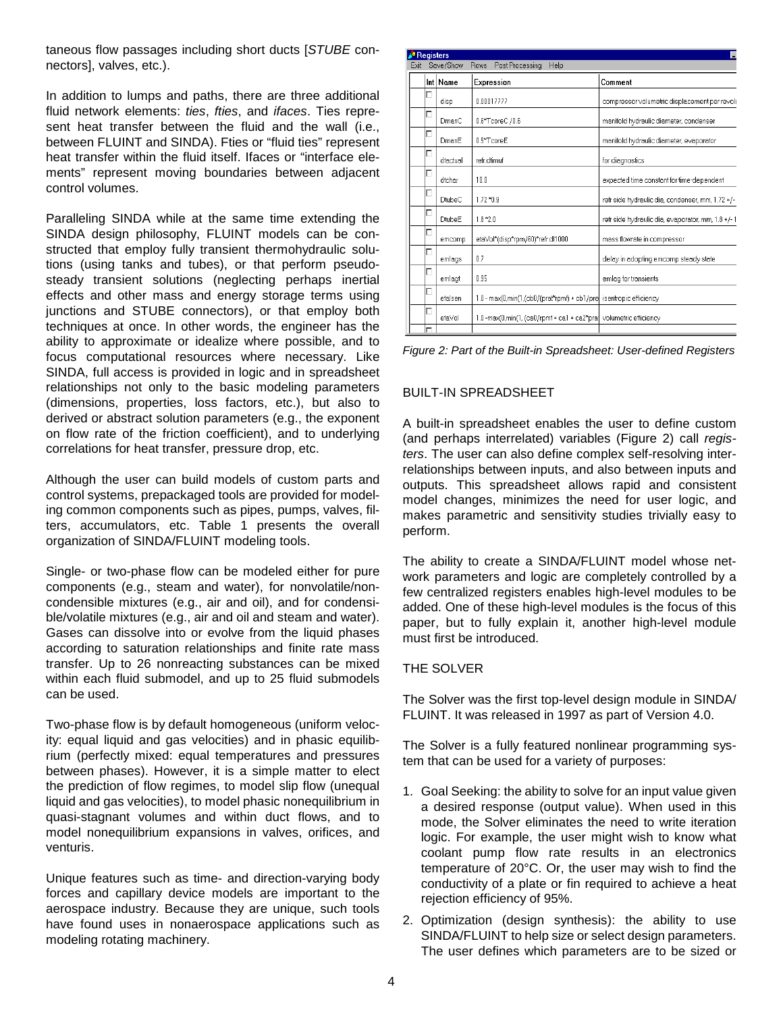taneous flow passages including short ducts [*STUBE* connectors], valves, etc.).

In addition to lumps and paths, there are three additional fluid network elements: *ties*, *fties*, and *ifaces*. Ties represent heat transfer between the fluid and the wall (i.e., between FLUINT and SINDA). Fties or "fluid ties" represent heat transfer within the fluid itself. Ifaces or "interface elements" represent moving boundaries between adjacent control volumes.

Paralleling SINDA while at the same time extending the SINDA design philosophy, FLUINT models can be constructed that employ fully transient thermohydraulic solutions (using tanks and tubes), or that perform pseudosteady transient solutions (neglecting perhaps inertial effects and other mass and energy storage terms using junctions and STUBE connectors), or that employ both techniques at once. In other words, the engineer has the ability to approximate or idealize where possible, and to focus computational resources where necessary. Like SINDA, full access is provided in logic and in spreadsheet relationships not only to the basic modeling parameters (dimensions, properties, loss factors, etc.), but also to derived or abstract solution parameters (e.g., the exponent on flow rate of the friction coefficient), and to underlying correlations for heat transfer, pressure drop, etc.

Although the user can build models of custom parts and control systems, prepackaged tools are provided for modeling common components such as pipes, pumps, valves, filters, accumulators, etc. Table 1 presents the overall organization of SINDA/FLUINT modeling tools.

Single- or two-phase flow can be modeled either for pure components (e.g., steam and water), for nonvolatile/noncondensible mixtures (e.g., air and oil), and for condensible/volatile mixtures (e.g., air and oil and steam and water). Gases can dissolve into or evolve from the liquid phases according to saturation relationships and finite rate mass transfer. Up to 26 nonreacting substances can be mixed within each fluid submodel, and up to 25 fluid submodels can be used.

Two-phase flow is by default homogeneous (uniform velocity: equal liquid and gas velocities) and in phasic equilibrium (perfectly mixed: equal temperatures and pressures between phases). However, it is a simple matter to elect the prediction of flow regimes, to model slip flow (unequal liquid and gas velocities), to model phasic nonequilibrium in quasi-stagnant volumes and within duct flows, and to model nonequilibrium expansions in valves, orifices, and venturis.

Unique features such as time- and direction-varying body forces and capillary device models are important to the aerospace industry. Because they are unique, such tools have found uses in nonaerospace applications such as modeling rotating machinery.

| <b>Registers</b><br>Save/Show<br>Rows<br>Exit |                         |               |                                                                     |                                                   |  |  |  |  |
|-----------------------------------------------|-------------------------|---------------|---------------------------------------------------------------------|---------------------------------------------------|--|--|--|--|
|                                               | Post Processing<br>Help |               |                                                                     |                                                   |  |  |  |  |
|                                               |                         | Int Name      | Expression                                                          | Comment                                           |  |  |  |  |
|                                               | г                       | disp          | 0.00017777                                                          | compressor volumetric displacement per revolu     |  |  |  |  |
|                                               | г                       | DmanC         | 0.6*TcoreC / 0.6                                                    | manifold hydraulic diameter, condenser            |  |  |  |  |
|                                               | г                       | DmanE         | 0.5*TcoreE                                                          | manifold hydraulic diameter, evaporator           |  |  |  |  |
|                                               | г                       | dtactual      | refr.dtimuf                                                         | for diagnostics                                   |  |  |  |  |
|                                               | г                       | dtchar        | 10.0                                                                | expected time constant for time-dependent         |  |  |  |  |
|                                               | г                       | <b>DtubeC</b> | 1.72 * 0.9                                                          | refr side hydraulic dia, condenser, mm, 1.72 +/-  |  |  |  |  |
|                                               | г                       | DtubeE        | $1.8*2.0$                                                           | refr side hydraulic dia, evaporator, mm, 1.8 +/-1 |  |  |  |  |
|                                               | г                       | emcomp        | etaVol*(disp*rpm/60)*refr.dl1000                                    | mass flowrate in compressor                       |  |  |  |  |
|                                               | г                       | emlags        | 0.7                                                                 | delay in adopting emcomp steady state             |  |  |  |  |
|                                               | г                       | emlagt        | 0.95                                                                | emlag for transients                              |  |  |  |  |
|                                               | г                       | etalsen       | 1.0 - max(0,min(1,(cb0/(prat*rpmf) + cb1/pra  isentropic efficiency |                                                   |  |  |  |  |
|                                               | г                       | etaVol        | 1.0-max(0,min(1, (ca0/rpmf + ca1 + ca2*pra) volumetric efficiency   |                                                   |  |  |  |  |
|                                               | п                       |               |                                                                     |                                                   |  |  |  |  |

*Figure 2: Part of the Built-in Spreadsheet: User-defined Registers*

# BUILT-IN SPREADSHEET

A built-in spreadsheet enables the user to define custom (and perhaps interrelated) variables (Figure 2) call *registers*. The user can also define complex self-resolving interrelationships between inputs, and also between inputs and outputs. This spreadsheet allows rapid and consistent model changes, minimizes the need for user logic, and makes parametric and sensitivity studies trivially easy to perform.

The ability to create a SINDA/FLUINT model whose network parameters and logic are completely controlled by a few centralized registers enables high-level modules to be added. One of these high-level modules is the focus of this paper, but to fully explain it, another high-level module must first be introduced.

# THE SOLVER

The Solver was the first top-level design module in SINDA/ FLUINT. It was released in 1997 as part of Version 4.0.

The Solver is a fully featured nonlinear programming system that can be used for a variety of purposes:

- 1. Goal Seeking: the ability to solve for an input value given a desired response (output value). When used in this mode, the Solver eliminates the need to write iteration logic. For example, the user might wish to know what coolant pump flow rate results in an electronics temperature of 20°C. Or, the user may wish to find the conductivity of a plate or fin required to achieve a heat rejection efficiency of 95%.
- 2. Optimization (design synthesis): the ability to use SINDA/FLUINT to help size or select design parameters. The user defines which parameters are to be sized or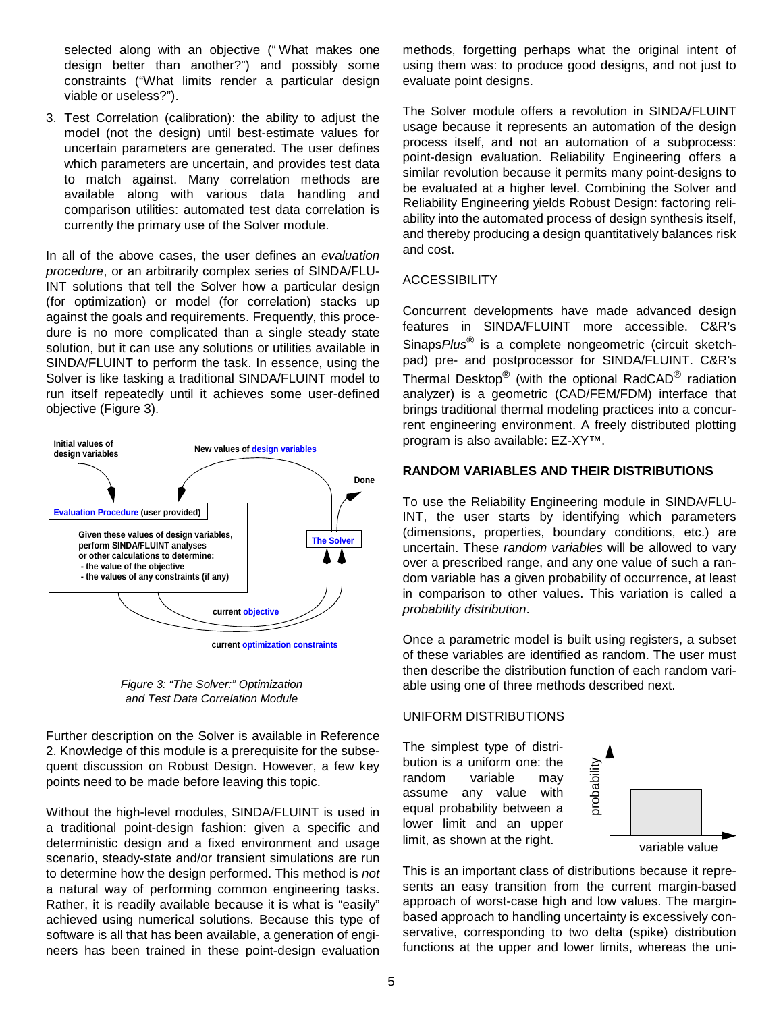selected along with an objective ("What makes one design better than another?") and possibly some constraints ("What limits render a particular design viable or useless?").

3. Test Correlation (calibration): the ability to adjust the model (not the design) until best-estimate values for uncertain parameters are generated. The user defines which parameters are uncertain, and provides test data to match against. Many correlation methods are available along with various data handling and comparison utilities: automated test data correlation is currently the primary use of the Solver module.

In all of the above cases, the user defines an *evaluation procedure*, or an arbitrarily complex series of SINDA/FLU-INT solutions that tell the Solver how a particular design (for optimization) or model (for correlation) stacks up against the goals and requirements. Frequently, this procedure is no more complicated than a single steady state solution, but it can use any solutions or utilities available in SINDA/FLUINT to perform the task. In essence, using the Solver is like tasking a traditional SINDA/FLUINT model to run itself repeatedly until it achieves some user-defined objective (Figure 3).



**current optimization constraints**

*Figure 3: "The Solver:" Optimization and Test Data Correlation Module*

Further description on the Solver is available in Reference 2. Knowledge of this module is a prerequisite for the subsequent discussion on Robust Design. However, a few key points need to be made before leaving this topic.

Without the high-level modules, SINDA/FLUINT is used in a traditional point-design fashion: given a specific and deterministic design and a fixed environment and usage scenario, steady-state and/or transient simulations are run to determine how the design performed. This method is *not* a natural way of performing common engineering tasks. Rather, it is readily available because it is what is "easily" achieved using numerical solutions. Because this type of software is all that has been available, a generation of engineers has been trained in these point-design evaluation

methods, forgetting perhaps what the original intent of using them was: to produce good designs, and not just to evaluate point designs.

The Solver module offers a revolution in SINDA/FLUINT usage because it represents an automation of the design process itself, and not an automation of a subprocess: point-design evaluation. Reliability Engineering offers a similar revolution because it permits many point-designs to be evaluated at a higher level. Combining the Solver and Reliability Engineering yields Robust Design: factoring reliability into the automated process of design synthesis itself, and thereby producing a design quantitatively balances risk and cost.

# **ACCESSIBILITY**

Concurrent developments have made advanced design features in SINDA/FLUINT more accessible. C&R's Sinaps*Plus*® is a complete nongeometric (circuit sketchpad) pre- and postprocessor for SINDA/FLUINT. C&R's Thermal Desktop® (with the optional RadCAD® radiation analyzer) is a geometric (CAD/FEM/FDM) interface that brings traditional thermal modeling practices into a concurrent engineering environment. A freely distributed plotting program is also available: EZ-XY™.

# **RANDOM VARIABLES AND THEIR DISTRIBUTIONS**

To use the Reliability Engineering module in SINDA/FLU-INT, the user starts by identifying which parameters (dimensions, properties, boundary conditions, etc.) are uncertain. These *random variables* will be allowed to vary over a prescribed range, and any one value of such a random variable has a given probability of occurrence, at least in comparison to other values. This variation is called a *probability distribution*.

Once a parametric model is built using registers, a subset of these variables are identified as random. The user must then describe the distribution function of each random variable using one of three methods described next.

# UNIFORM DISTRIBUTIONS

The simplest type of distribution is a uniform one: the random variable may assume any value with equal probability between a lower limit and an upper limit, as shown at the right.



This is an important class of distributions because it represents an easy transition from the current margin-based approach of worst-case high and low values. The marginbased approach to handling uncertainty is excessively conservative, corresponding to two delta (spike) distribution functions at the upper and lower limits, whereas the uni-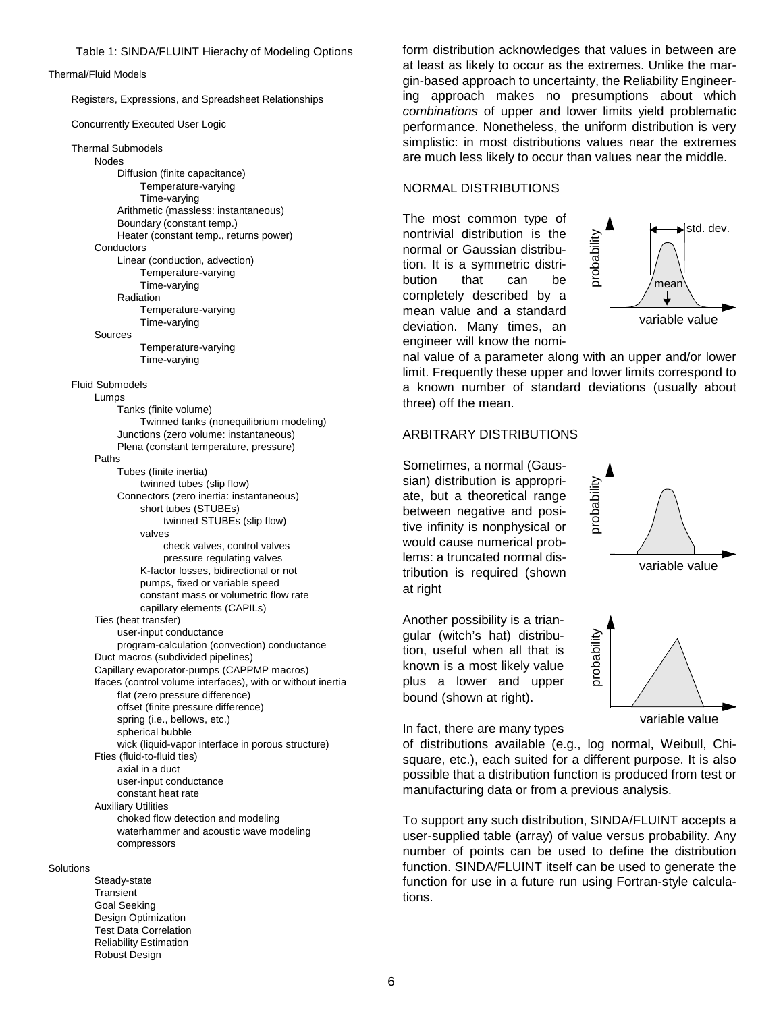#### Thermal/Fluid Models

Registers, Expressions, and Spreadsheet Relationships

Concurrently Executed User Logic

Thermal Submodels Nodes Diffusion (finite capacitance) Temperature-varying Time-varying Arithmetic (massless: instantaneous) Boundary (constant temp.) Heater (constant temp., returns power) **Conductors** Linear (conduction, advection) Temperature-varying Time-varying Radiation Temperature-varying Time-varying Sources Temperature-varying Time-varying Fluid Submodels Lumps Tanks (finite volume) Twinned tanks (nonequilibrium modeling) Junctions (zero volume: instantaneous) Plena (constant temperature, pressure) Paths Tubes (finite inertia) twinned tubes (slip flow) Connectors (zero inertia: instantaneous) short tubes (STUBEs) twinned STUBEs (slip flow) valves check valves, control valves pressure regulating valves K-factor losses, bidirectional or not pumps, fixed or variable speed constant mass or volumetric flow rate capillary elements (CAPILs) Ties (heat transfer) user-input conductance program-calculation (convection) conductance Duct macros (subdivided pipelines) Capillary evaporator-pumps (CAPPMP macros) Ifaces (control volume interfaces), with or without inertia flat (zero pressure difference) offset (finite pressure difference) spring (i.e., bellows, etc.) spherical bubble wick (liquid-vapor interface in porous structure) Fties (fluid-to-fluid ties) axial in a duct user-input conductance constant heat rate

Auxiliary Utilities choked flow detection and modeling waterhammer and acoustic wave modeling compressors

#### Solutions

Steady-state **Transient** Goal Seeking Design Optimization Test Data Correlation Reliability Estimation Robust Design

form distribution acknowledges that values in between are at least as likely to occur as the extremes. Unlike the margin-based approach to uncertainty, the Reliability Engineering approach makes no presumptions about which *combinations* of upper and lower limits yield problematic performance. Nonetheless, the uniform distribution is very simplistic: in most distributions values near the extremes are much less likely to occur than values near the middle.

#### NORMAL DISTRIBUTIONS

The most common type of nontrivial distribution is the normal or Gaussian distribution. It is a symmetric distribution that can be completely described by a mean value and a standard deviation. Many times, an engineer will know the nomi-



nal value of a parameter along with an upper and/or lower limit. Frequently these upper and lower limits correspond to a known number of standard deviations (usually about three) off the mean.

#### ARBITRARY DISTRIBUTIONS

Sometimes, a normal (Gaussian) distribution is appropriate, but a theoretical range between negative and positive infinity is nonphysical or would cause numerical problems: a truncated normal distribution is required (shown at right

Another possibility is a triangular (witch's hat) distribution, useful when all that is known is a most likely value plus a lower and upper bound (shown at right).

In fact, there are many types

of distributions available (e.g., log normal, Weibull, Chisquare, etc.), each suited for a different purpose. It is also possible that a distribution function is produced from test or manufacturing data or from a previous analysis.

To support any such distribution, SINDA/FLUINT accepts a user-supplied table (array) of value versus probability. Any number of points can be used to define the distribution function. SINDA/FLUINT itself can be used to generate the function for use in a future run using Fortran-style calculations.



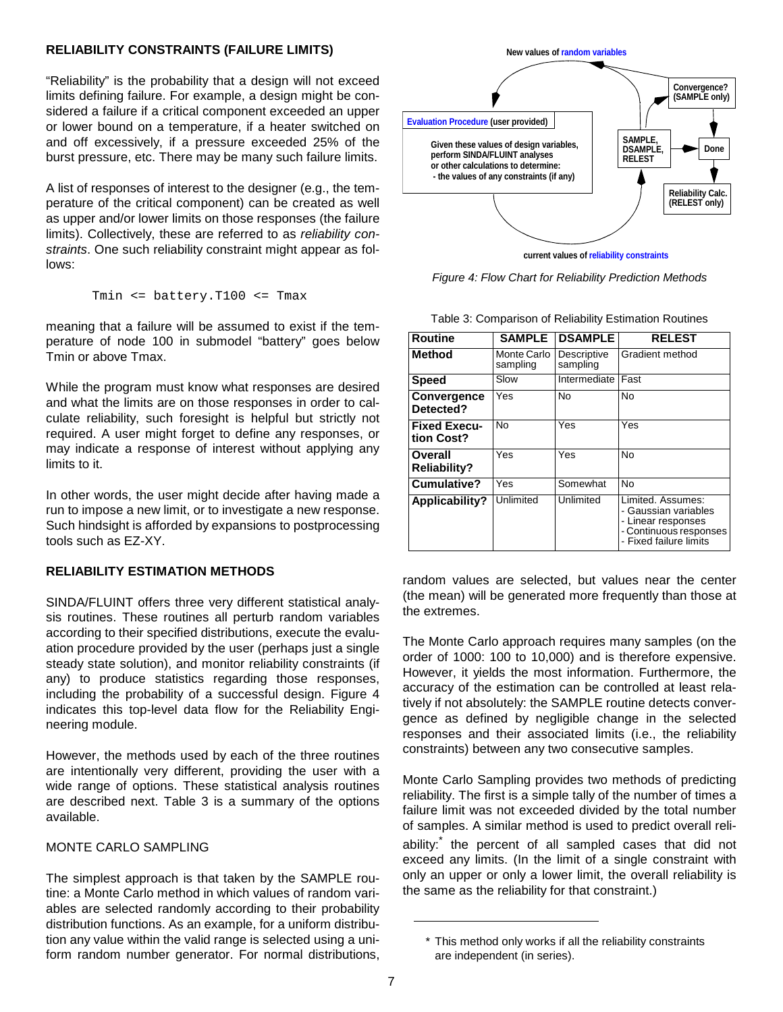### **RELIABILITY CONSTRAINTS (FAILURE LIMITS)**

"Reliability" is the probability that a design will not exceed limits defining failure. For example, a design might be considered a failure if a critical component exceeded an upper or lower bound on a temperature, if a heater switched on and off excessively, if a pressure exceeded 25% of the burst pressure, etc. There may be many such failure limits.

A list of responses of interest to the designer (e.g., the temperature of the critical component) can be created as well as upper and/or lower limits on those responses (the failure limits). Collectively, these are referred to as *reliability constraints*. One such reliability constraint might appear as follows:

$$
\texttt{Tmin} \texttt{<=} \texttt{battery}.\texttt{T100} \texttt{<=} \texttt{Tmax}
$$

meaning that a failure will be assumed to exist if the temperature of node 100 in submodel "battery" goes below Tmin or above Tmax.

While the program must know what responses are desired and what the limits are on those responses in order to calculate reliability, such foresight is helpful but strictly not required. A user might forget to define any responses, or may indicate a response of interest without applying any limits to it.

In other words, the user might decide after having made a run to impose a new limit, or to investigate a new response. Such hindsight is afforded by expansions to postprocessing tools such as EZ-XY.

#### **RELIABILITY ESTIMATION METHODS**

SINDA/FLUINT offers three very different statistical analysis routines. These routines all perturb random variables according to their specified distributions, execute the evaluation procedure provided by the user (perhaps just a single steady state solution), and monitor reliability constraints (if any) to produce statistics regarding those responses, including the probability of a successful design. Figure 4 indicates this top-level data flow for the Reliability Engineering module.

However, the methods used by each of the three routines are intentionally very different, providing the user with a wide range of options. These statistical analysis routines are described next. Table 3 is a summary of the options available.

#### MONTE CARLO SAMPLING

The simplest approach is that taken by the SAMPLE routine: a Monte Carlo method in which values of random variables are selected randomly according to their probability distribution functions. As an example, for a uniform distribution any value within the valid range is selected using a uniform random number generator. For normal distributions,



**current values of reliability constraints**

*Figure 4: Flow Chart for Reliability Prediction Methods*

| <b>Routine</b>                    | <b>SAMPLE</b>           | <b>DSAMPLE</b>          | <b>RELEST</b>                                                                                                       |
|-----------------------------------|-------------------------|-------------------------|---------------------------------------------------------------------------------------------------------------------|
| <b>Method</b>                     | Monte Carlo<br>sampling | Descriptive<br>sampling | Gradient method                                                                                                     |
| <b>Speed</b>                      | Slow                    | Intermediate            | Fast                                                                                                                |
| <b>Convergence</b><br>Detected?   | Yes                     | No                      | No                                                                                                                  |
| <b>Fixed Execu-</b><br>tion Cost? | No                      | Yes                     | Yes                                                                                                                 |
| Overall<br><b>Reliability?</b>    | Yes                     | Yes                     | No                                                                                                                  |
| Cumulative?                       | Yes                     | Somewhat                | No                                                                                                                  |
| Applicability?                    | Unlimited               | Unlimited               | Limited. Assumes:<br>- Gaussian variables<br>- Linear responses<br>- Continuous responses<br>- Fixed failure limits |

random values are selected, but values near the center (the mean) will be generated more frequently than those at the extremes.

The Monte Carlo approach requires many samples (on the order of 1000: 100 to 10,000) and is therefore expensive. However, it yields the most information. Furthermore, the accuracy of the estimation can be controlled at least relatively if not absolutely: the SAMPLE routine detects convergence as defined by negligible change in the selected responses and their associated limits (i.e., the reliability constraints) between any two consecutive samples.

Monte Carlo Sampling provides two methods of predicting reliability. The first is a simple tally of the number of times a failure limit was not exceeded divided by the total number of samples. A similar method is used to predict overall reliability:<sup>\*</sup> the percent of all sampled cases that did not exceed any limits. (In the limit of a single constraint with only an upper or only a lower limit, the overall reliability is the same as the reliability for that constraint.)

<sup>\*</sup> This method only works if all the reliability constraints are independent (in series).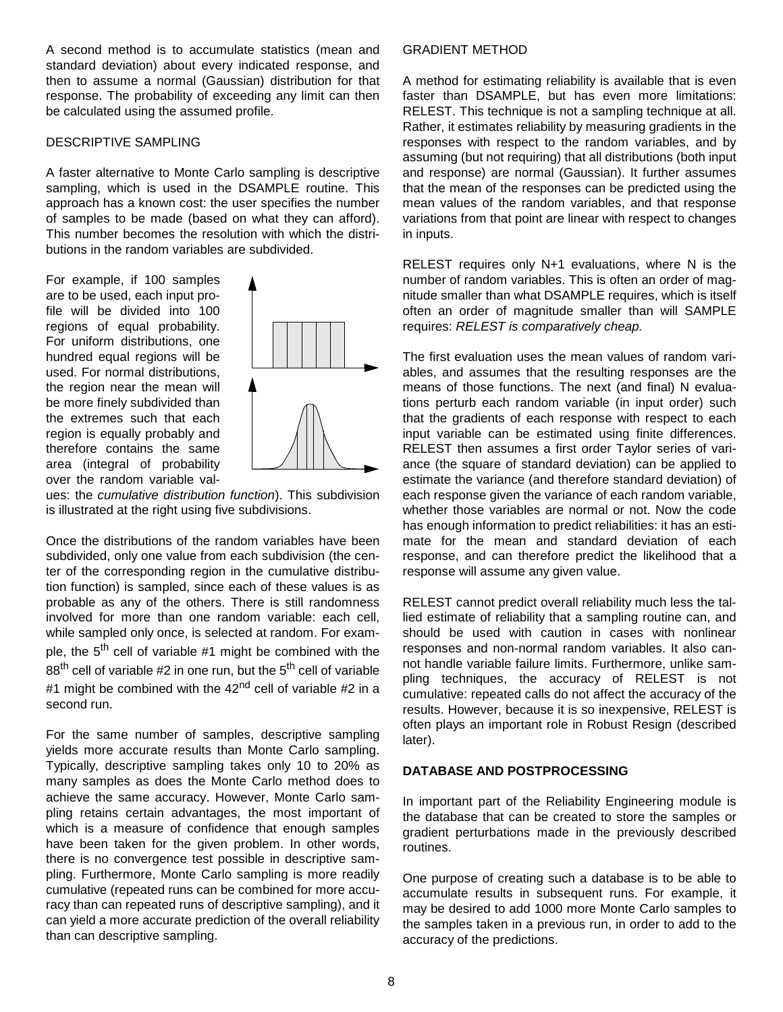A second method is to accumulate statistics (mean and standard deviation) about every indicated response, and then to assume a normal (Gaussian) distribution for that response. The probability of exceeding any limit can then be calculated using the assumed profile.

#### DESCRIPTIVE SAMPLING

A faster alternative to Monte Carlo sampling is descriptive sampling, which is used in the DSAMPLE routine. This approach has a known cost: the user specifies the number of samples to be made (based on what they can afford). This number becomes the resolution with which the distributions in the random variables are subdivided.

For example, if 100 samples are to be used, each input profile will be divided into 100 regions of equal probability. For uniform distributions, one hundred equal regions will be used. For normal distributions, the region near the mean will be more finely subdivided than the extremes such that each region is equally probably and therefore contains the same area (integral of probability over the random variable val-



ues: the *cumulative distribution function*). This subdivision is illustrated at the right using five subdivisions.

Once the distributions of the random variables have been subdivided, only one value from each subdivision (the center of the corresponding region in the cumulative distribution function) is sampled, since each of these values is as probable as any of the others. There is still randomness involved for more than one random variable: each cell, while sampled only once, is selected at random. For example, the  $5<sup>th</sup>$  cell of variable #1 might be combined with the  $88<sup>th</sup>$  cell of variable #2 in one run, but the  $5<sup>th</sup>$  cell of variable #1 might be combined with the  $42<sup>nd</sup>$  cell of variable #2 in a second run.

For the same number of samples, descriptive sampling yields more accurate results than Monte Carlo sampling. Typically, descriptive sampling takes only 10 to 20% as many samples as does the Monte Carlo method does to achieve the same accuracy. However, Monte Carlo sampling retains certain advantages, the most important of which is a measure of confidence that enough samples have been taken for the given problem. In other words, there is no convergence test possible in descriptive sampling. Furthermore, Monte Carlo sampling is more readily cumulative (repeated runs can be combined for more accuracy than can repeated runs of descriptive sampling), and it can yield a more accurate prediction of the overall reliability than can descriptive sampling.

### GRADIENT METHOD

A method for estimating reliability is available that is even faster than DSAMPLE, but has even more limitations: RELEST. This technique is not a sampling technique at all. Rather, it estimates reliability by measuring gradients in the responses with respect to the random variables, and by assuming (but not requiring) that all distributions (both input and response) are normal (Gaussian). It further assumes that the mean of the responses can be predicted using the mean values of the random variables, and that response variations from that point are linear with respect to changes in inputs.

RELEST requires only N+1 evaluations, where N is the number of random variables. This is often an order of magnitude smaller than what DSAMPLE requires, which is itself often an order of magnitude smaller than will SAMPLE requires: *RELEST is comparatively cheap.*

The first evaluation uses the mean values of random variables, and assumes that the resulting responses are the means of those functions. The next (and final) N evaluations perturb each random variable (in input order) such that the gradients of each response with respect to each input variable can be estimated using finite differences. RELEST then assumes a first order Taylor series of variance (the square of standard deviation) can be applied to estimate the variance (and therefore standard deviation) of each response given the variance of each random variable, whether those variables are normal or not. Now the code has enough information to predict reliabilities: it has an estimate for the mean and standard deviation of each response, and can therefore predict the likelihood that a response will assume any given value.

RELEST cannot predict overall reliability much less the tallied estimate of reliability that a sampling routine can, and should be used with caution in cases with nonlinear responses and non-normal random variables. It also cannot handle variable failure limits. Furthermore, unlike sampling techniques, the accuracy of RELEST is not cumulative: repeated calls do not affect the accuracy of the results. However, because it is so inexpensive, RELEST is often plays an important role in Robust Resign (described later).

# **DATABASE AND POSTPROCESSING**

In important part of the Reliability Engineering module is the database that can be created to store the samples or gradient perturbations made in the previously described routines.

One purpose of creating such a database is to be able to accumulate results in subsequent runs. For example, it may be desired to add 1000 more Monte Carlo samples to the samples taken in a previous run, in order to add to the accuracy of the predictions.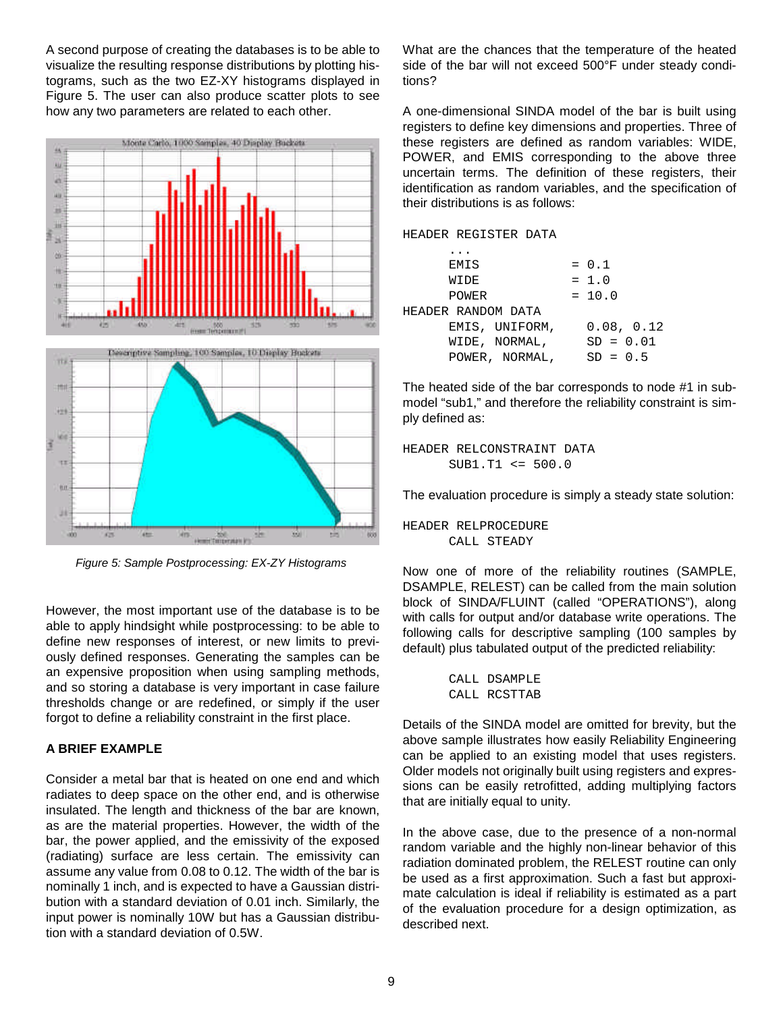A second purpose of creating the databases is to be able to visualize the resulting response distributions by plotting histograms, such as the two EZ-XY histograms displayed in Figure 5. The user can also produce scatter plots to see how any two parameters are related to each other.





*Figure 5: Sample Postprocessing: EX-ZY Histograms*

However, the most important use of the database is to be able to apply hindsight while postprocessing: to be able to define new responses of interest, or new limits to previously defined responses. Generating the samples can be an expensive proposition when using sampling methods, and so storing a database is very important in case failure thresholds change or are redefined, or simply if the user forgot to define a reliability constraint in the first place.

# **A BRIEF EXAMPLE**

Consider a metal bar that is heated on one end and which radiates to deep space on the other end, and is otherwise insulated. The length and thickness of the bar are known, as are the material properties. However, the width of the bar, the power applied, and the emissivity of the exposed (radiating) surface are less certain. The emissivity can assume any value from 0.08 to 0.12. The width of the bar is nominally 1 inch, and is expected to have a Gaussian distribution with a standard deviation of 0.01 inch. Similarly, the input power is nominally 10W but has a Gaussian distribution with a standard deviation of 0.5W.

What are the chances that the temperature of the heated side of the bar will not exceed 500°F under steady conditions?

A one-dimensional SINDA model of the bar is built using registers to define key dimensions and properties. Three of these registers are defined as random variables: WIDE, POWER, and EMIS corresponding to the above three uncertain terms. The definition of these registers, their identification as random variables, and the specification of their distributions is as follows:

HEADER REGISTER DATA

| $= 0.1$     |
|-------------|
| $= 1.0$     |
| $= 10.0$    |
|             |
| 0.08, 0.12  |
| $SD = 0.01$ |
| $SD = 0.5$  |
|             |

The heated side of the bar corresponds to node #1 in submodel "sub1," and therefore the reliability constraint is simply defined as:

```
HEADER RELCONSTRAINT DATA
      SUB1.T1 <= 500.0
```
The evaluation procedure is simply a steady state solution:

HEADER RELPROCEDURE CALL STEADY

Now one of more of the reliability routines (SAMPLE, DSAMPLE, RELEST) can be called from the main solution block of SINDA/FLUINT (called "OPERATIONS"), along with calls for output and/or database write operations. The following calls for descriptive sampling (100 samples by default) plus tabulated output of the predicted reliability:

```
CALL DSAMPLE
CALL RCSTTAB
```
Details of the SINDA model are omitted for brevity, but the above sample illustrates how easily Reliability Engineering can be applied to an existing model that uses registers. Older models not originally built using registers and expressions can be easily retrofitted, adding multiplying factors that are initially equal to unity.

In the above case, due to the presence of a non-normal random variable and the highly non-linear behavior of this radiation dominated problem, the RELEST routine can only be used as a first approximation. Such a fast but approximate calculation is ideal if reliability is estimated as a part of the evaluation procedure for a design optimization, as described next.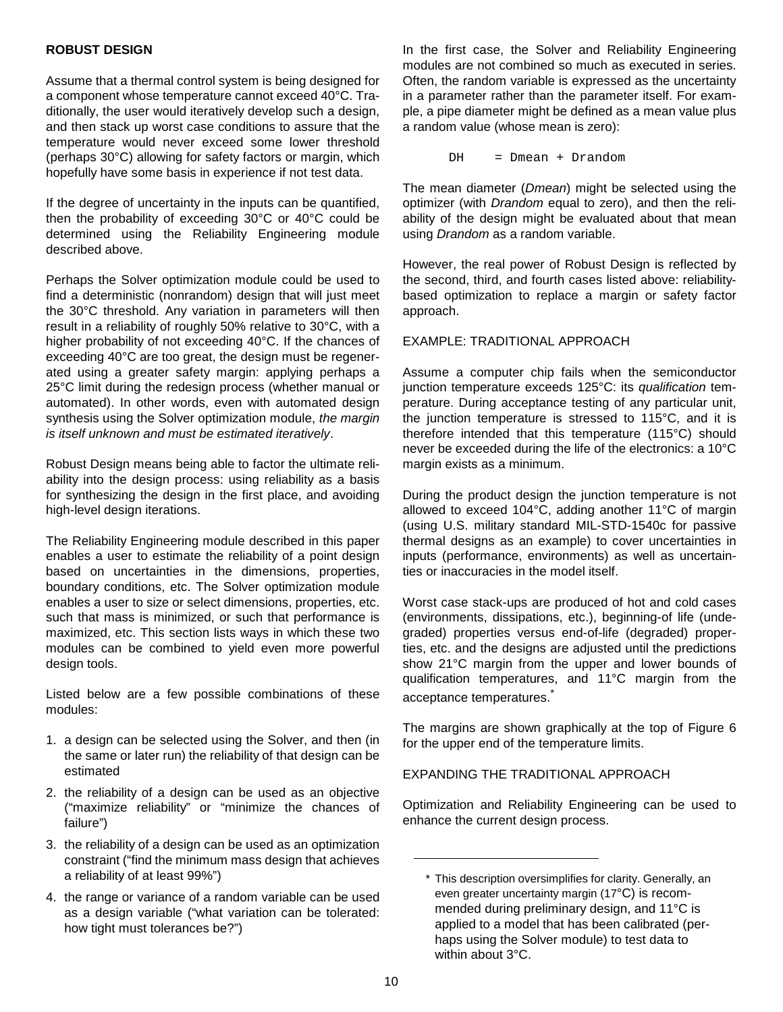## **ROBUST DESIGN**

Assume that a thermal control system is being designed for a component whose temperature cannot exceed 40°C. Traditionally, the user would iteratively develop such a design, and then stack up worst case conditions to assure that the temperature would never exceed some lower threshold (perhaps 30°C) allowing for safety factors or margin, which hopefully have some basis in experience if not test data.

If the degree of uncertainty in the inputs can be quantified, then the probability of exceeding 30°C or 40°C could be determined using the Reliability Engineering module described above.

Perhaps the Solver optimization module could be used to find a deterministic (nonrandom) design that will just meet the 30°C threshold. Any variation in parameters will then result in a reliability of roughly 50% relative to 30°C, with a higher probability of not exceeding 40°C. If the chances of exceeding 40°C are too great, the design must be regenerated using a greater safety margin: applying perhaps a 25°C limit during the redesign process (whether manual or automated). In other words, even with automated design synthesis using the Solver optimization module, *the margin is itself unknown and must be estimated iteratively*.

Robust Design means being able to factor the ultimate reliability into the design process: using reliability as a basis for synthesizing the design in the first place, and avoiding high-level design iterations.

The Reliability Engineering module described in this paper enables a user to estimate the reliability of a point design based on uncertainties in the dimensions, properties, boundary conditions, etc. The Solver optimization module enables a user to size or select dimensions, properties, etc. such that mass is minimized, or such that performance is maximized, etc. This section lists ways in which these two modules can be combined to yield even more powerful design tools.

Listed below are a few possible combinations of these modules:

- 1. a design can be selected using the Solver, and then (in the same or later run) the reliability of that design can be estimated
- 2. the reliability of a design can be used as an objective ("maximize reliability" or "minimize the chances of failure")
- 3. the reliability of a design can be used as an optimization constraint ("find the minimum mass design that achieves a reliability of at least 99%")
- 4. the range or variance of a random variable can be used as a design variable ("what variation can be tolerated: how tight must tolerances be?")

In the first case, the Solver and Reliability Engineering modules are not combined so much as executed in series. Often, the random variable is expressed as the uncertainty in a parameter rather than the parameter itself. For example, a pipe diameter might be defined as a mean value plus a random value (whose mean is zero):

DH = Dmean + Drandom

The mean diameter (*Dmean*) might be selected using the optimizer (with *Drandom* equal to zero), and then the reliability of the design might be evaluated about that mean using *Drandom* as a random variable.

However, the real power of Robust Design is reflected by the second, third, and fourth cases listed above: reliabilitybased optimization to replace a margin or safety factor approach.

# EXAMPLE: TRADITIONAL APPROACH

Assume a computer chip fails when the semiconductor junction temperature exceeds 125°C: its *qualification* temperature. During acceptance testing of any particular unit, the junction temperature is stressed to 115°C, and it is therefore intended that this temperature (115°C) should never be exceeded during the life of the electronics: a 10°C margin exists as a minimum.

During the product design the junction temperature is not allowed to exceed 104°C, adding another 11°C of margin (using U.S. military standard MIL-STD-1540c for passive thermal designs as an example) to cover uncertainties in inputs (performance, environments) as well as uncertainties or inaccuracies in the model itself.

Worst case stack-ups are produced of hot and cold cases (environments, dissipations, etc.), beginning-of life (undegraded) properties versus end-of-life (degraded) properties, etc. and the designs are adjusted until the predictions show 21°C margin from the upper and lower bounds of qualification temperatures, and 11°C margin from the acceptance temperatures.<sup>\*</sup>

The margins are shown graphically at the top of Figure 6 for the upper end of the temperature limits.

EXPANDING THE TRADITIONAL APPROACH

Optimization and Reliability Engineering can be used to enhance the current design process.

<sup>\*</sup> This description oversimplifies for clarity. Generally, an even greater uncertainty margin (17°C) is recommended during preliminary design, and 11°C is applied to a model that has been calibrated (perhaps using the Solver module) to test data to within about 3°C.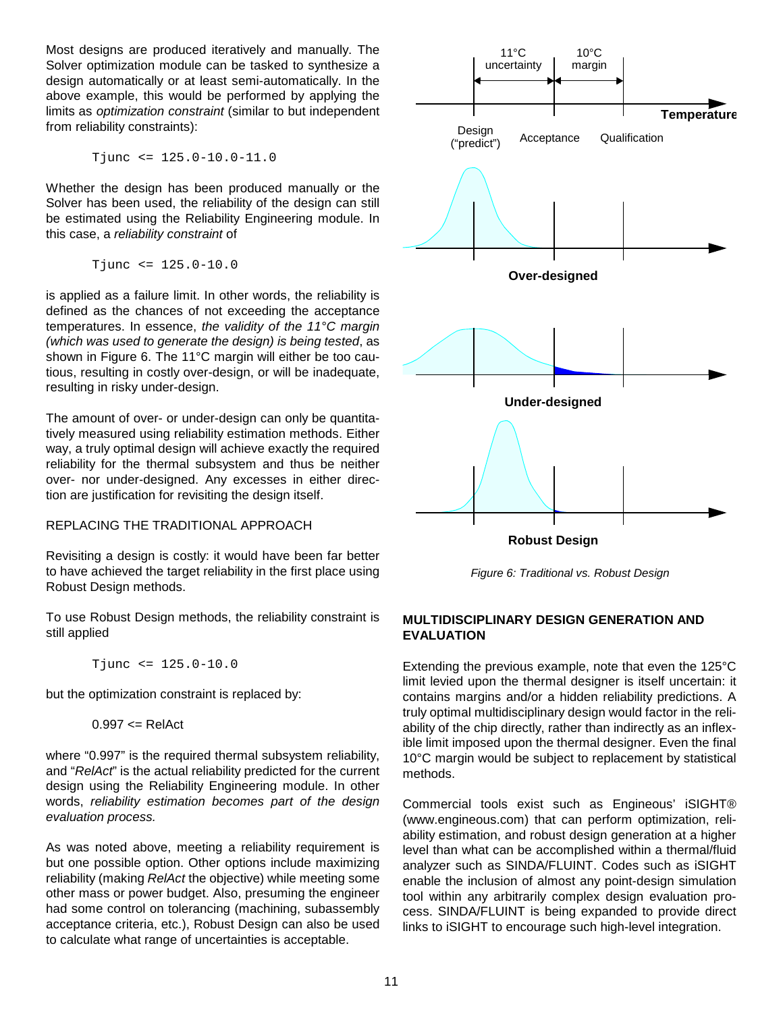Most designs are produced iteratively and manually. The Solver optimization module can be tasked to synthesize a design automatically or at least semi-automatically. In the above example, this would be performed by applying the limits as *optimization constraint* (similar to but independent from reliability constraints):

$$
Tjunc \leq 125.0-10.0-11.0
$$

Whether the design has been produced manually or the Solver has been used, the reliability of the design can still be estimated using the Reliability Engineering module. In this case, a *reliability constraint* of

$$
Tjunc \leq 125.0-10.0
$$

is applied as a failure limit. In other words, the reliability is defined as the chances of not exceeding the acceptance temperatures. In essence, *the validity of the 11°C margin (which was used to generate the design) is being tested*, as shown in Figure 6. The 11°C margin will either be too cautious, resulting in costly over-design, or will be inadequate, resulting in risky under-design.

The amount of over- or under-design can only be quantitatively measured using reliability estimation methods. Either way, a truly optimal design will achieve exactly the required reliability for the thermal subsystem and thus be neither over- nor under-designed. Any excesses in either direction are justification for revisiting the design itself.

# REPLACING THE TRADITIONAL APPROACH

Revisiting a design is costly: it would have been far better to have achieved the target reliability in the first place using Robust Design methods.

To use Robust Design methods, the reliability constraint is still applied

 $T$ junc <= 125.0-10.0

but the optimization constraint is replaced by:

 $0.997 \leq RelAct$ 

where "0.997" is the required thermal subsystem reliability, and "*RelAct*" is the actual reliability predicted for the current design using the Reliability Engineering module. In other words, *reliability estimation becomes part of the design evaluation process.*

As was noted above, meeting a reliability requirement is but one possible option. Other options include maximizing reliability (making *RelAct* the objective) while meeting some other mass or power budget. Also, presuming the engineer had some control on tolerancing (machining, subassembly acceptance criteria, etc.), Robust Design can also be used to calculate what range of uncertainties is acceptable.



*Figure 6: Traditional vs. Robust Design*

# **MULTIDISCIPLINARY DESIGN GENERATION AND EVALUATION**

Extending the previous example, note that even the 125°C limit levied upon the thermal designer is itself uncertain: it contains margins and/or a hidden reliability predictions. A truly optimal multidisciplinary design would factor in the reliability of the chip directly, rather than indirectly as an inflexible limit imposed upon the thermal designer. Even the final 10°C margin would be subject to replacement by statistical methods.

Commercial tools exist such as Engineous' iSIGHT® (www.engineous.com) that can perform optimization, reliability estimation, and robust design generation at a higher level than what can be accomplished within a thermal/fluid analyzer such as SINDA/FLUINT. Codes such as iSIGHT enable the inclusion of almost any point-design simulation tool within any arbitrarily complex design evaluation process. SINDA/FLUINT is being expanded to provide direct links to iSIGHT to encourage such high-level integration.